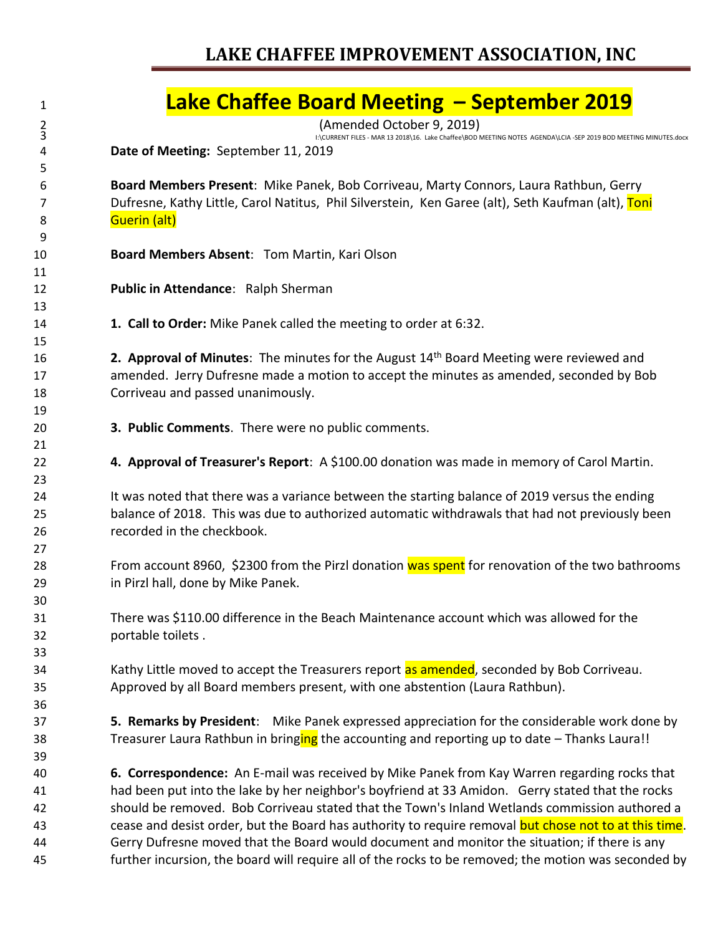# **Lake Chaffee Board Meeting – September 2019**

<br>  $\frac{1}{2}$ <br>  $\frac{1}{2}$ <br>  $\frac{1}{2}$ <br>  $\frac{1}{2}$ <br>  $\frac{1}{2}$ <br>  $\frac{1}{2}$ <br>  $\frac{1}{2}$ <br>  $\frac{1}{2}$ <br>  $\frac{1}{2}$ <br>  $\frac{1}{2}$ <br>  $\frac{1}{2}$ <br>  $\frac{1}{2}$ <br>  $\frac{1}{2}$ <br>  $\frac{1}{2}$ <br>  $\frac{1}{2}$ <br>  $\frac{1}{2}$ <br>  $\frac{1}{2}$ <br>  $\frac{1}{2}$ <br>  $\frac{1}{2}$ <br>  $\frac{1}{2$ 

I:\CURRENT FILES - MAR 13 2018\16. Lake Chaffee\BOD MEETING NOTES AGENDA\LCIA -SEP 2019 BOD MEETING MINUTES.docx

**Date of Meeting:** September 11, 2019

 **Board Members Present**: Mike Panek, Bob Corriveau, Marty Connors, Laura Rathbun, Gerry 7 Dufresne, Kathy Little, Carol Natitus, Phil Silverstein, Ken Garee (alt), Seth Kaufman (alt), Toni **Guerin (alt)** 

- **Board Members Absent**: Tom Martin, Kari Olson
- **Public in Attendance**: Ralph Sherman
- **1. Call to Order:** Mike Panek called the meeting to order at 6:32.

16 **2. Approval of Minutes**: The minutes for the August 14<sup>th</sup> Board Meeting were reviewed and amended. Jerry Dufresne made a motion to accept the minutes as amended, seconded by Bob Corriveau and passed unanimously.

- **3. Public Comments**. There were no public comments.
- **4. Approval of Treasurer's Report**: A \$100.00 donation was made in memory of Carol Martin.

24 It was noted that there was a variance between the starting balance of 2019 versus the ending balance of 2018. This was due to authorized automatic withdrawals that had not previously been recorded in the checkbook.

28 From account 8960, \$2300 from the Pirzl donation was spent for renovation of the two bathrooms in Pirzl hall, done by Mike Panek.

 There was \$110.00 difference in the Beach Maintenance account which was allowed for the portable toilets .

34 Kathy Little moved to accept the Treasurers report as amended, seconded by Bob Corriveau. Approved by all Board members present, with one abstention (Laura Rathbun).

 **5. Remarks by President**: Mike Panek expressed appreciation for the considerable work done by 38 Treasurer Laura Rathbun in bringing the accounting and reporting up to date – Thanks Laura!!

 **6. Correspondence:** An E-mail was received by Mike Panek from Kay Warren regarding rocks that had been put into the lake by her neighbor's boyfriend at 33 Amidon. Gerry stated that the rocks should be removed. Bob Corriveau stated that the Town's Inland Wetlands commission authored a 43 cease and desist order, but the Board has authority to require removal but chose not to at this time. Gerry Dufresne moved that the Board would document and monitor the situation; if there is any further incursion, the board will require all of the rocks to be removed; the motion was seconded by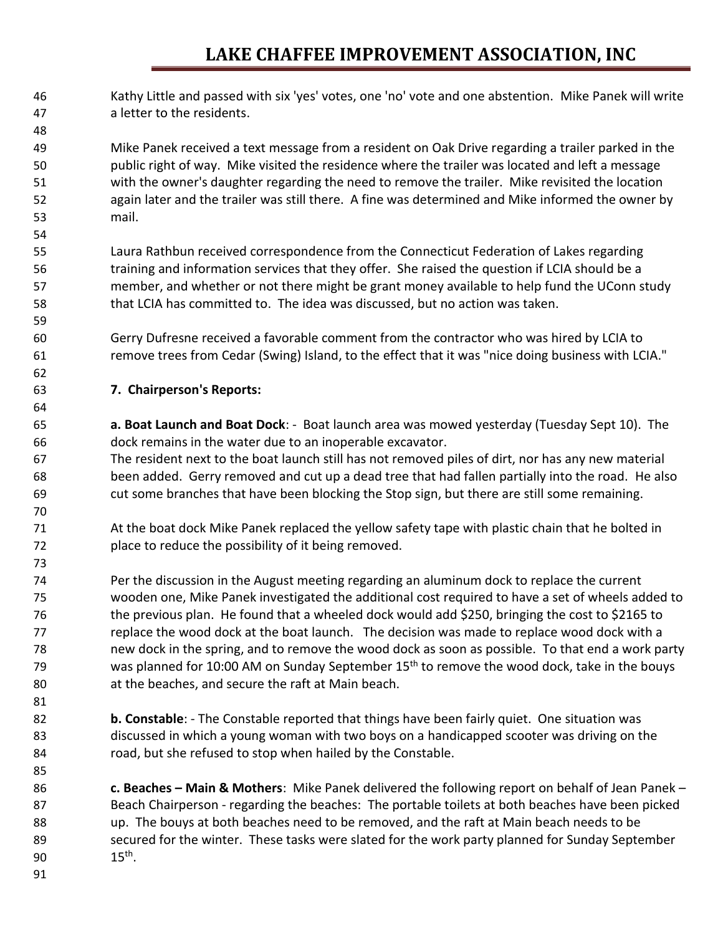Kathy Little and passed with six 'yes' votes, one 'no' vote and one abstention. Mike Panek will write a letter to the residents.

 Mike Panek received a text message from a resident on Oak Drive regarding a trailer parked in the public right of way. Mike visited the residence where the trailer was located and left a message with the owner's daughter regarding the need to remove the trailer. Mike revisited the location again later and the trailer was still there. A fine was determined and Mike informed the owner by mail.

 Laura Rathbun received correspondence from the Connecticut Federation of Lakes regarding training and information services that they offer. She raised the question if LCIA should be a member, and whether or not there might be grant money available to help fund the UConn study that LCIA has committed to. The idea was discussed, but no action was taken.

 Gerry Dufresne received a favorable comment from the contractor who was hired by LCIA to remove trees from Cedar (Swing) Island, to the effect that it was "nice doing business with LCIA."

#### **7. Chairperson's Reports:**

 **a. Boat Launch and Boat Dock**: - Boat launch area was mowed yesterday (Tuesday Sept 10). The dock remains in the water due to an inoperable excavator.

 The resident next to the boat launch still has not removed piles of dirt, nor has any new material been added. Gerry removed and cut up a dead tree that had fallen partially into the road. He also cut some branches that have been blocking the Stop sign, but there are still some remaining.

- At the boat dock Mike Panek replaced the yellow safety tape with plastic chain that he bolted in place to reduce the possibility of it being removed.
- Per the discussion in the August meeting regarding an aluminum dock to replace the current wooden one, Mike Panek investigated the additional cost required to have a set of wheels added to the previous plan. He found that a wheeled dock would add \$250, bringing the cost to \$2165 to replace the wood dock at the boat launch. The decision was made to replace wood dock with a new dock in the spring, and to remove the wood dock as soon as possible. To that end a work party  $\mu$  was planned for 10:00 AM on Sunday September 15<sup>th</sup> to remove the wood dock, take in the bouys at the beaches, and secure the raft at Main beach.
- **b. Constable**: The Constable reported that things have been fairly quiet. One situation was discussed in which a young woman with two boys on a handicapped scooter was driving on the 84 road, but she refused to stop when hailed by the Constable.
- **c. Beaches – Main & Mothers**: Mike Panek delivered the following report on behalf of Jean Panek Beach Chairperson - regarding the beaches: The portable toilets at both beaches have been picked up. The bouys at both beaches need to be removed, and the raft at Main beach needs to be secured for the winter. These tasks were slated for the work party planned for Sunday September 90  $15^{th}$ .
-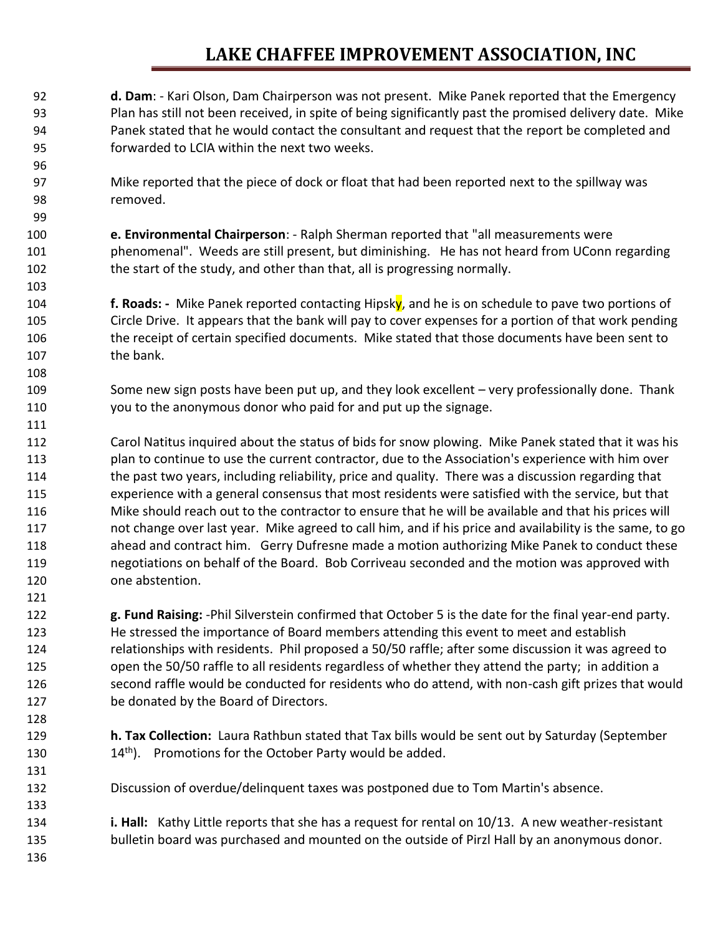- **d. Dam**: Kari Olson, Dam Chairperson was not present. Mike Panek reported that the Emergency Plan has still not been received, in spite of being significantly past the promised delivery date. Mike Panek stated that he would contact the consultant and request that the report be completed and forwarded to LCIA within the next two weeks.
- Mike reported that the piece of dock or float that had been reported next to the spillway was removed.
- **e. Environmental Chairperson**: Ralph Sherman reported that "all measurements were phenomenal". Weeds are still present, but diminishing. He has not heard from UConn regarding the start of the study, and other than that, all is progressing normally.
- **f. Roads: -** Mike Panek reported contacting Hipsky, and he is on schedule to pave two portions of Circle Drive. It appears that the bank will pay to cover expenses for a portion of that work pending the receipt of certain specified documents. Mike stated that those documents have been sent to the bank.
- Some new sign posts have been put up, and they look excellent very professionally done. Thank you to the anonymous donor who paid for and put up the signage.
- Carol Natitus inquired about the status of bids for snow plowing. Mike Panek stated that it was his plan to continue to use the current contractor, due to the Association's experience with him over the past two years, including reliability, price and quality. There was a discussion regarding that experience with a general consensus that most residents were satisfied with the service, but that Mike should reach out to the contractor to ensure that he will be available and that his prices will not change over last year. Mike agreed to call him, and if his price and availability is the same, to go ahead and contract him. Gerry Dufresne made a motion authorizing Mike Panek to conduct these negotiations on behalf of the Board. Bob Corriveau seconded and the motion was approved with one abstention.
- **g. Fund Raising:** -Phil Silverstein confirmed that October 5 is the date for the final year-end party. He stressed the importance of Board members attending this event to meet and establish relationships with residents. Phil proposed a 50/50 raffle; after some discussion it was agreed to open the 50/50 raffle to all residents regardless of whether they attend the party; in addition a second raffle would be conducted for residents who do attend, with non-cash gift prizes that would be donated by the Board of Directors.
- **h. Tax Collection:** Laura Rathbun stated that Tax bills would be sent out by Saturday (September 130  $14<sup>th</sup>$ . Promotions for the October Party would be added.
- Discussion of overdue/delinquent taxes was postponed due to Tom Martin's absence.
- **i. Hall:** Kathy Little reports that she has a request for rental on 10/13. A new weather-resistant bulletin board was purchased and mounted on the outside of Pirzl Hall by an anonymous donor.
-